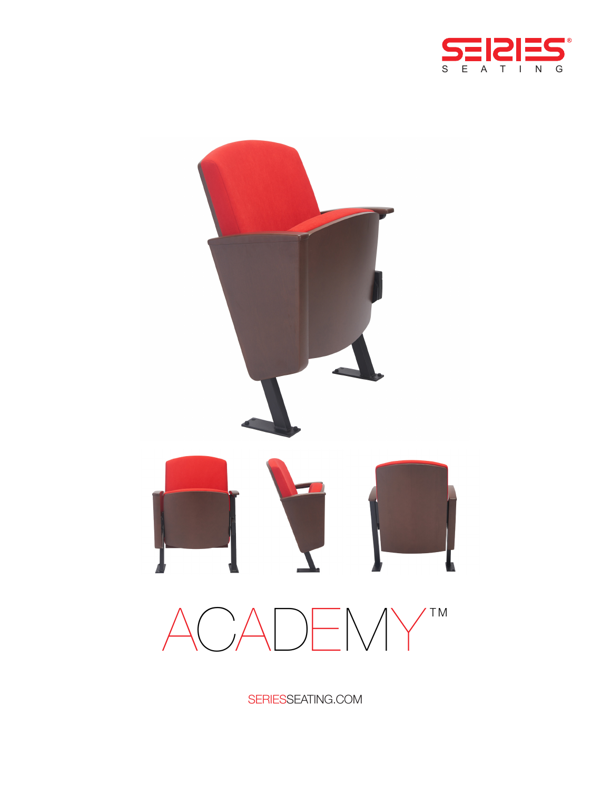



SERIESSEATING.COM